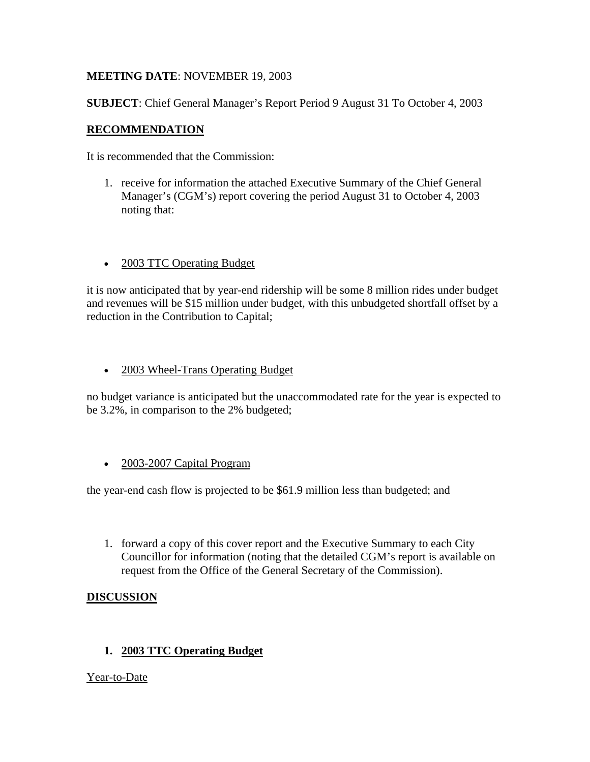# **MEETING DATE**: NOVEMBER 19, 2003

**SUBJECT**: Chief General Manager's Report Period 9 August 31 To October 4, 2003

# **RECOMMENDATION**

It is recommended that the Commission:

- 1. receive for information the attached Executive Summary of the Chief General Manager's (CGM's) report covering the period August 31 to October 4, 2003 noting that:
- 2003 TTC Operating Budget

it is now anticipated that by year-end ridership will be some 8 million rides under budget and revenues will be \$15 million under budget, with this unbudgeted shortfall offset by a reduction in the Contribution to Capital;

• 2003 Wheel-Trans Operating Budget

no budget variance is anticipated but the unaccommodated rate for the year is expected to be 3.2%, in comparison to the 2% budgeted;

• 2003-2007 Capital Program

the year-end cash flow is projected to be \$61.9 million less than budgeted; and

1. forward a copy of this cover report and the Executive Summary to each City Councillor for information (noting that the detailed CGM's report is available on request from the Office of the General Secretary of the Commission).

## **DISCUSSION**

## **1. 2003 TTC Operating Budget**

Year-to-Date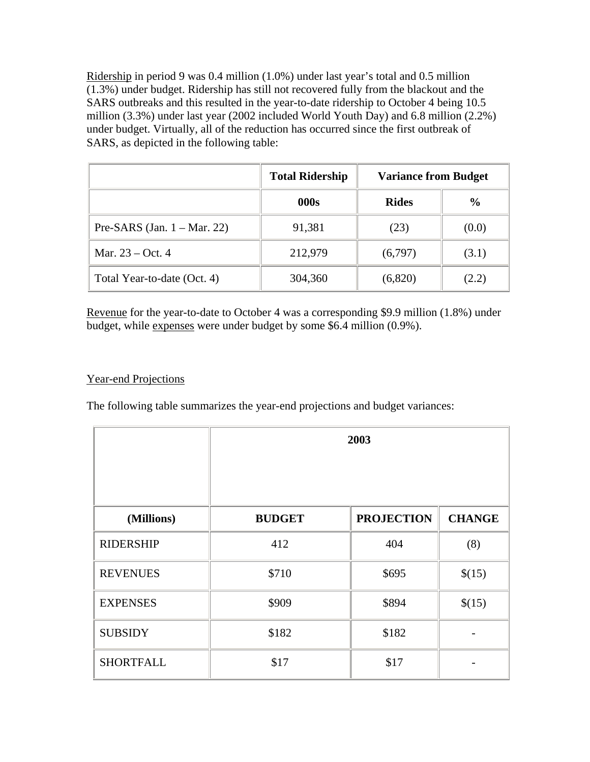Ridership in period 9 was 0.4 million (1.0%) under last year's total and 0.5 million (1.3%) under budget. Ridership has still not recovered fully from the blackout and the SARS outbreaks and this resulted in the year-to-date ridership to October 4 being 10.5 million (3.3%) under last year (2002 included World Youth Day) and 6.8 million (2.2%) under budget. Virtually, all of the reduction has occurred since the first outbreak of SARS, as depicted in the following table:

|                                        | <b>Total Ridership</b> | <b>Variance from Budget</b> |               |
|----------------------------------------|------------------------|-----------------------------|---------------|
|                                        | 000s                   | <b>Rides</b>                | $\frac{0}{0}$ |
| Pre-SARS (Jan. $1 - \text{Mar. } 22$ ) | 91,381                 | (23)                        | (0.0)         |
| Mar. 23 – Oct. 4                       | 212,979                | (6,797)                     | (3.1)         |
| Total Year-to-date (Oct. 4)            | 304,360                | (6,820)                     | (2.2)         |

Revenue for the year-to-date to October 4 was a corresponding \$9.9 million (1.8%) under budget, while expenses were under budget by some \$6.4 million (0.9%).

### Year-end Projections

The following table summarizes the year-end projections and budget variances:

|                  | 2003          |                   |               |
|------------------|---------------|-------------------|---------------|
| (Millions)       | <b>BUDGET</b> | <b>PROJECTION</b> | <b>CHANGE</b> |
| <b>RIDERSHIP</b> | 412           | 404               | (8)           |
| <b>REVENUES</b>  | \$710         | \$695             | \$(15)        |
| <b>EXPENSES</b>  | \$909         | \$894             | \$(15)        |
| <b>SUBSIDY</b>   | \$182         | \$182             |               |
| <b>SHORTFALL</b> | \$17          | \$17              |               |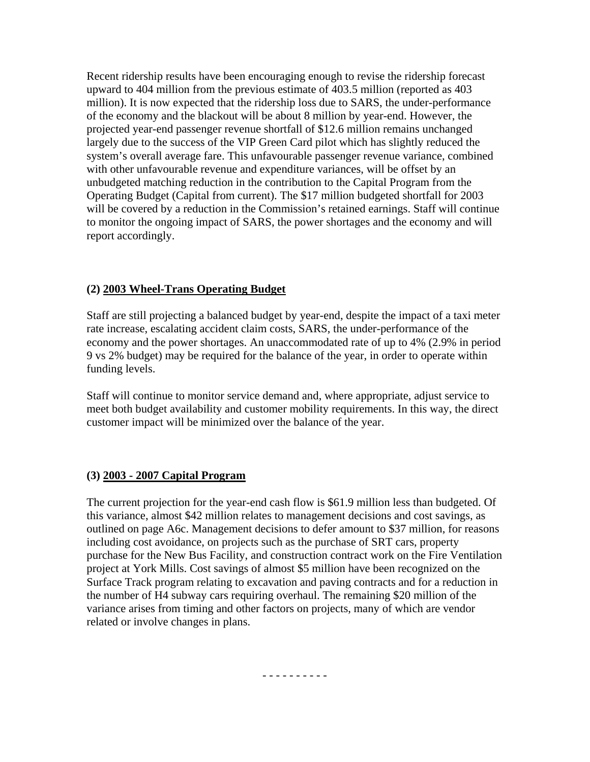Recent ridership results have been encouraging enough to revise the ridership forecast upward to 404 million from the previous estimate of 403.5 million (reported as 403 million). It is now expected that the ridership loss due to SARS, the under-performance of the economy and the blackout will be about 8 million by year-end. However, the projected year-end passenger revenue shortfall of \$12.6 million remains unchanged largely due to the success of the VIP Green Card pilot which has slightly reduced the system's overall average fare. This unfavourable passenger revenue variance, combined with other unfavourable revenue and expenditure variances, will be offset by an unbudgeted matching reduction in the contribution to the Capital Program from the Operating Budget (Capital from current). The \$17 million budgeted shortfall for 2003 will be covered by a reduction in the Commission's retained earnings. Staff will continue to monitor the ongoing impact of SARS, the power shortages and the economy and will report accordingly.

#### **(2) 2003 Wheel-Trans Operating Budget**

Staff are still projecting a balanced budget by year-end, despite the impact of a taxi meter rate increase, escalating accident claim costs, SARS, the under-performance of the economy and the power shortages. An unaccommodated rate of up to 4% (2.9% in period 9 vs 2% budget) may be required for the balance of the year, in order to operate within funding levels.

Staff will continue to monitor service demand and, where appropriate, adjust service to meet both budget availability and customer mobility requirements. In this way, the direct customer impact will be minimized over the balance of the year.

#### **(3) 2003 - 2007 Capital Program**

The current projection for the year-end cash flow is \$61.9 million less than budgeted. Of this variance, almost \$42 million relates to management decisions and cost savings, as outlined on page A6c. Management decisions to defer amount to \$37 million, for reasons including cost avoidance, on projects such as the purchase of SRT cars, property purchase for the New Bus Facility, and construction contract work on the Fire Ventilation project at York Mills. Cost savings of almost \$5 million have been recognized on the Surface Track program relating to excavation and paving contracts and for a reduction in the number of H4 subway cars requiring overhaul. The remaining \$20 million of the variance arises from timing and other factors on projects, many of which are vendor related or involve changes in plans.

- - - - - - - - - -